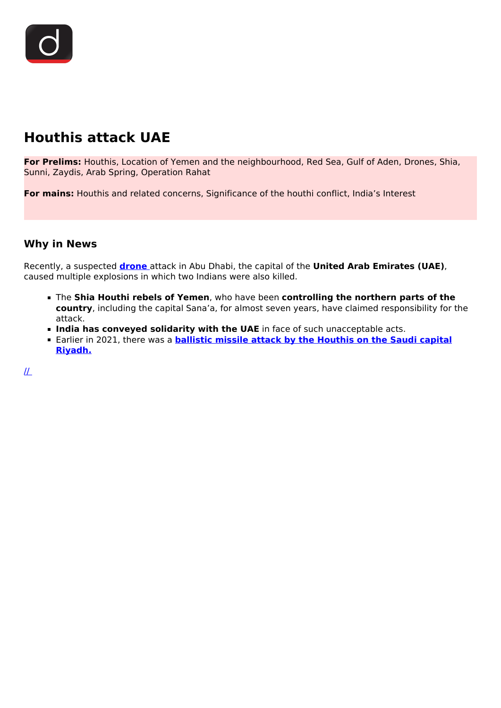# **Houthis attack UAE**

**For Prelims:** Houthis, Location of Yemen and the neighbourhood, Red Sea, Gulf of Aden, Drones, Shia, Sunni, Zaydis, Arab Spring, Operation Rahat

**For mains:** Houthis and related concerns, Significance of the houthi conflict, India's Interest

## **Why in News**

Recently, a suspected **[drone](/daily-updates/daily-news-analysis/use-of-drones-technology)** attack in Abu Dhabi, the capital of the **United Arab Emirates (UAE)**, caused multiple explosions in which two Indians were also killed.

- The **Shia Houthi rebels of Yemen**, who have been **controlling the northern parts of the country**, including the capital Sana'a, for almost seven years, have claimed responsibility for the attack.
- **India has conveyed solidarity with the UAE** in face of such unacceptable acts.
- **Earlier in 2021, there was a <b>[ballistic missile attack by the Houthis on the Saudi capital](/daily-updates/daily-news-analysis/houthis-attacked-riyadh) [Riyadh.](/daily-updates/daily-news-analysis/houthis-attacked-riyadh)**

 $I\!\!L$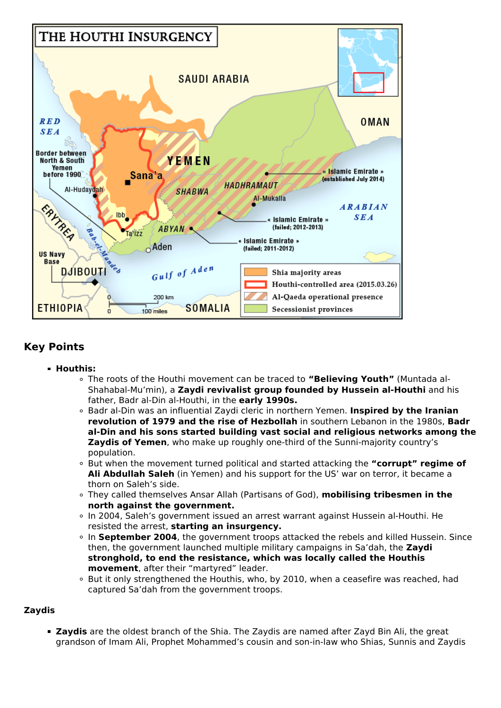

## **Key Points**

- **Houthis:**
	- The roots of the Houthi movement can be traced to **"Believing Youth"** (Muntada al-Shahabal-Mu'min), a **Zaydi revivalist group founded by Hussein al-Houthi** and his father, Badr al-Din al-Houthi, in the **early 1990s.**
	- Badr al-Din was an influential Zaydi cleric in northern Yemen. **Inspired by the Iranian revolution of 1979 and the rise of Hezbollah** in southern Lebanon in the 1980s, **Badr al-Din and his sons started building vast social and religious networks among the Zaydis of Yemen**, who make up roughly one-third of the Sunni-majority country's population.
	- But when the movement turned political and started attacking the **"corrupt" regime of Ali Abdullah Saleh** (in Yemen) and his support for the US' war on terror, it became a thorn on Saleh's side.
	- They called themselves Ansar Allah (Partisans of God), **mobilising tribesmen in the north against the government.**
	- In 2004, Saleh's government issued an arrest warrant against Hussein al-Houthi. He resisted the arrest, **starting an insurgency.**
	- <sup>o</sup> In September 2004, the government troops attacked the rebels and killed Hussein. Since then, the government launched multiple military campaigns in Sa'dah, the **Zaydi stronghold, to end the resistance, which was locally called the Houthis movement**, after their "martyred" leader.
	- But it only strengthened the Houthis, who, by 2010, when a ceasefire was reached, had captured Sa'dah from the government troops.

#### **Zaydis**

**Zaydis** are the oldest branch of the Shia. The Zaydis are named after Zayd Bin Ali, the great grandson of Imam Ali, Prophet Mohammed's cousin and son-in-law who Shias, Sunnis and Zaydis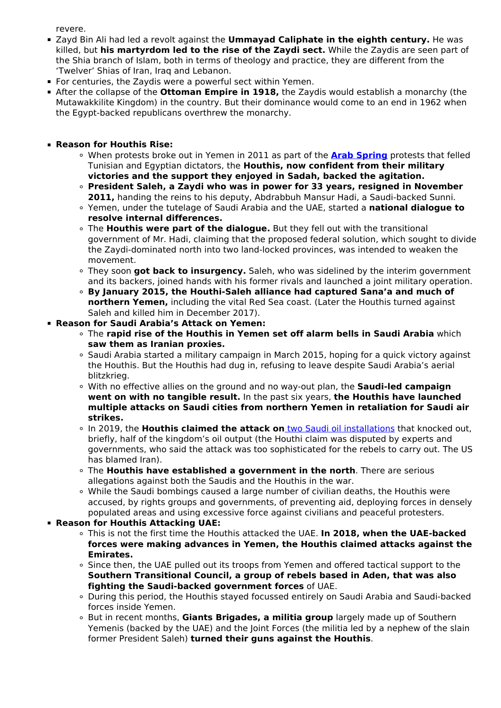revere.

- Zayd Bin Ali had led a revolt against the **Ummayad Caliphate in the eighth century.** He was killed, but **his martyrdom led to the rise of the Zaydi sect.** While the Zaydis are seen part of the Shia branch of Islam, both in terms of theology and practice, they are different from the 'Twelver' Shias of Iran, Iraq and Lebanon.
- For centuries, the Zaydis were a powerful sect within Yemen.
- After the collapse of the **Ottoman Empire in 1918,** the Zaydis would establish a monarchy (the Mutawakkilite Kingdom) in the country. But their dominance would come to an end in 1962 when the Egypt-backed republicans overthrew the monarchy.
- **Reason for Houthis Rise:**
	- When protests broke out in Yemen in 2011 as part of the **[Arab Spring](/loksabha-rajyasabha-discussions/the-big-picture-syria-crisis-us-backs-out)** protests that felled Tunisian and Egyptian dictators, the **Houthis, now confident from their military victories and the support they enjoyed in Sadah, backed the agitation.**
	- **President Saleh, a Zaydi who was in power for 33 years, resigned in November 2011,** handing the reins to his deputy, Abdrabbuh Mansur Hadi, a Saudi-backed Sunni.
	- Yemen, under the tutelage of Saudi Arabia and the UAE, started a **national dialogue to resolve internal differences.**
	- The **Houthis were part of the dialogue.** But they fell out with the transitional government of Mr. Hadi, claiming that the proposed federal solution, which sought to divide the Zaydi-dominated north into two land-locked provinces, was intended to weaken the movement.
	- They soon **got back to insurgency.** Saleh, who was sidelined by the interim government and its backers, joined hands with his former rivals and launched a joint military operation.
	- **By January 2015, the Houthi-Saleh alliance had captured Sana'a and much of northern Yemen,** including the vital Red Sea coast. (Later the Houthis turned against Saleh and killed him in December 2017).
- **Reason for Saudi Arabia's Attack on Yemen:**
	- The **rapid rise of the Houthis in Yemen set off alarm bells in Saudi Arabia** which **saw them as Iranian proxies.**
	- o Saudi Arabia started a military campaign in March 2015, hoping for a quick victory against the Houthis. But the Houthis had dug in, refusing to leave despite Saudi Arabia's aerial blitzkrieg.
	- With no effective allies on the ground and no way-out plan, the **Saudi-led campaign went on with no tangible result.** In the past six years, **the Houthis have launched multiple attacks on Saudi cities from northern Yemen in retaliation for Saudi air strikes.**
	- In 2019, the **Houthis claimed the attack on** [two Saudi oil installations](/daily-updates/daily-news-analysis/saudi-aramco-drone-attack) that knocked out, briefly, half of the kingdom's oil output (the Houthi claim was disputed by experts and governments, who said the attack was too sophisticated for the rebels to carry out. The US has blamed Iran).
	- The **Houthis have established a government in the north**. There are serious allegations against both the Saudis and the Houthis in the war.
	- While the Saudi bombings caused a large number of civilian deaths, the Houthis were accused, by rights groups and governments, of preventing aid, deploying forces in densely populated areas and using excessive force against civilians and peaceful protesters.
- **Reason for Houthis Attacking UAE:**
	- This is not the first time the Houthis attacked the UAE. **In 2018, when the UAE-backed forces were making advances in Yemen, the Houthis claimed attacks against the Emirates.**
	- . Since then, the UAE pulled out its troops from Yemen and offered tactical support to the **Southern Transitional Council, a group of rebels based in Aden, that was also fighting the Saudi-backed government forces** of UAE.
	- During this period, the Houthis stayed focussed entirely on Saudi Arabia and Saudi-backed forces inside Yemen.
	- But in recent months, **Giants Brigades, a militia group** largely made up of Southern Yemenis (backed by the UAE) and the Joint Forces (the militia led by a nephew of the slain former President Saleh) **turned their guns against the Houthis**.